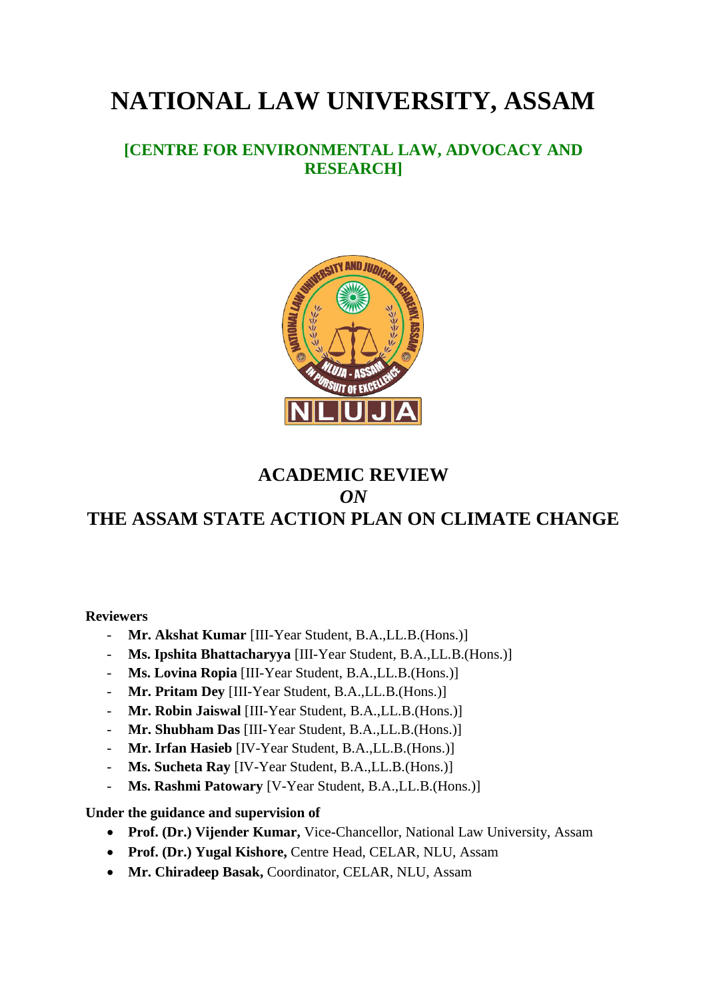# **NATIONAL LAW UNIVERSITY, ASSAM**

### **[CENTRE FOR ENVIRONMENTAL LAW, ADVOCACY AND RESEARCH]**



### **ACADEMIC REVIEW**  *ON* **THE ASSAM STATE ACTION PLAN ON CLIMATE CHANGE**

#### **Reviewers**

- **Mr. Akshat Kumar** [III-Year Student, B.A.,LL.B.(Hons.)]
- **Ms. Ipshita Bhattacharyya** [III-Year Student, B.A.,LL.B.(Hons.)]
- **Ms. Lovina Ropia** [III-Year Student, B.A.,LL.B.(Hons.)]
- **Mr. Pritam Dey** [III-Year Student, B.A.,LL.B.(Hons.)]
- **Mr. Robin Jaiswal** [III-Year Student, B.A.,LL.B.(Hons.)]
- **Mr. Shubham Das** [III-Year Student, B.A.,LL.B.(Hons.)]
- **Mr. Irfan Hasieb** [IV-Year Student, B.A.,LL.B.(Hons.)]
- **Ms. Sucheta Ray** [IV-Year Student, B.A.,LL.B.(Hons.)]
- **Ms. Rashmi Patowary** [V-Year Student, B.A.,LL.B.(Hons.)]

#### **Under the guidance and supervision of**

- **Prof. (Dr.) Vijender Kumar,** Vice-Chancellor, National Law University, Assam
- **Prof. (Dr.) Yugal Kishore,** Centre Head, CELAR, NLU, Assam
- **Mr. Chiradeep Basak,** Coordinator, CELAR, NLU, Assam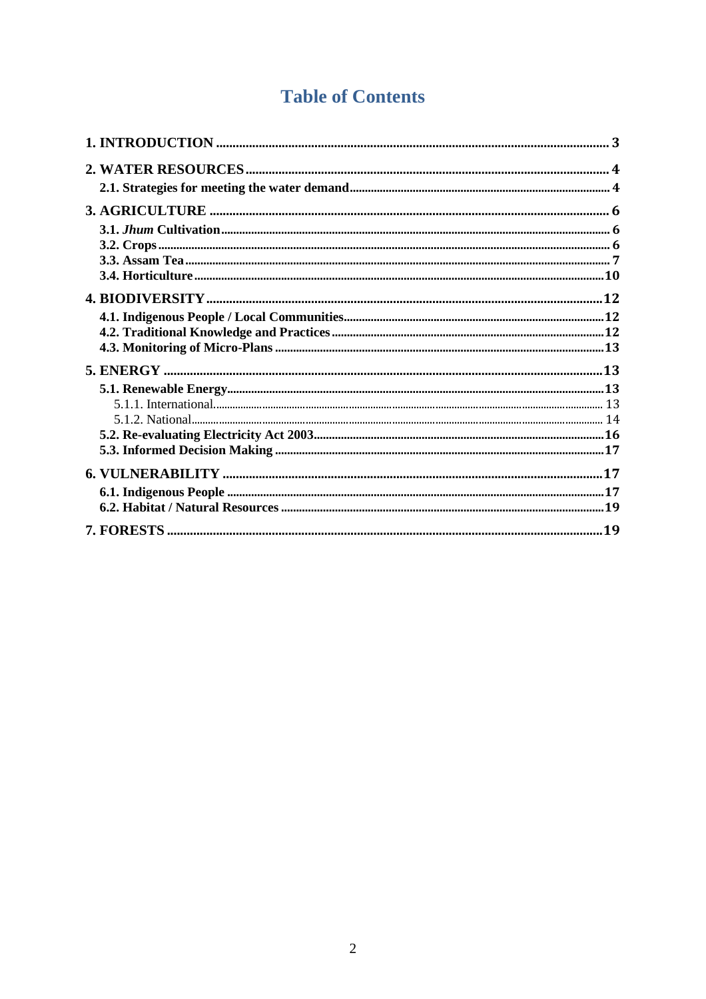## **Table of Contents**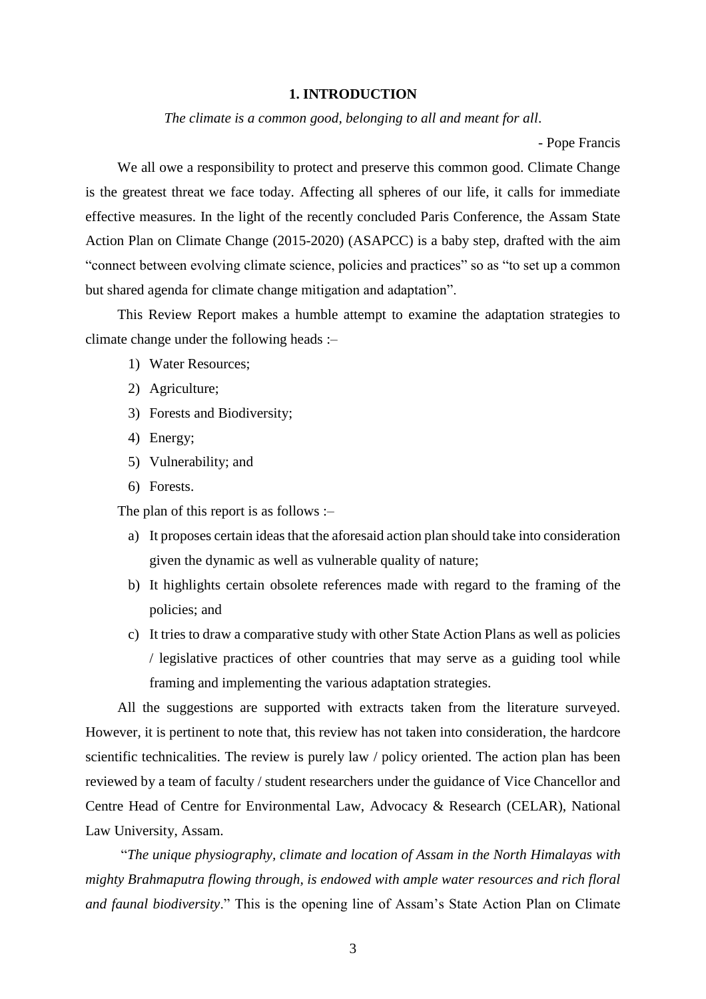#### **1. INTRODUCTION**

*The climate is a common good, belonging to all and meant for all*.

- Pope Francis

<span id="page-2-0"></span>We all owe a responsibility to protect and preserve this common good. Climate Change is the greatest threat we face today. Affecting all spheres of our life, it calls for immediate effective measures. In the light of the recently concluded Paris Conference, the Assam State Action Plan on Climate Change (2015-2020) (ASAPCC) is a baby step, drafted with the aim "connect between evolving climate science, policies and practices" so as "to set up a common but shared agenda for climate change mitigation and adaptation".

This Review Report makes a humble attempt to examine the adaptation strategies to climate change under the following heads :–

- 1) Water Resources;
- 2) Agriculture;
- 3) Forests and Biodiversity;
- 4) Energy;
- 5) Vulnerability; and
- 6) Forests.

The plan of this report is as follows :–

- a) It proposes certain ideas that the aforesaid action plan should take into consideration given the dynamic as well as vulnerable quality of nature;
- b) It highlights certain obsolete references made with regard to the framing of the policies; and
- c) It tries to draw a comparative study with other State Action Plans as well as policies / legislative practices of other countries that may serve as a guiding tool while framing and implementing the various adaptation strategies.

All the suggestions are supported with extracts taken from the literature surveyed. However, it is pertinent to note that, this review has not taken into consideration, the hardcore scientific technicalities. The review is purely law / policy oriented. The action plan has been reviewed by a team of faculty / student researchers under the guidance of Vice Chancellor and Centre Head of Centre for Environmental Law, Advocacy & Research (CELAR), National Law University, Assam.

"*The unique physiography, climate and location of Assam in the North Himalayas with mighty Brahmaputra flowing through, is endowed with ample water resources and rich floral and faunal biodiversity*." This is the opening line of Assam's State Action Plan on Climate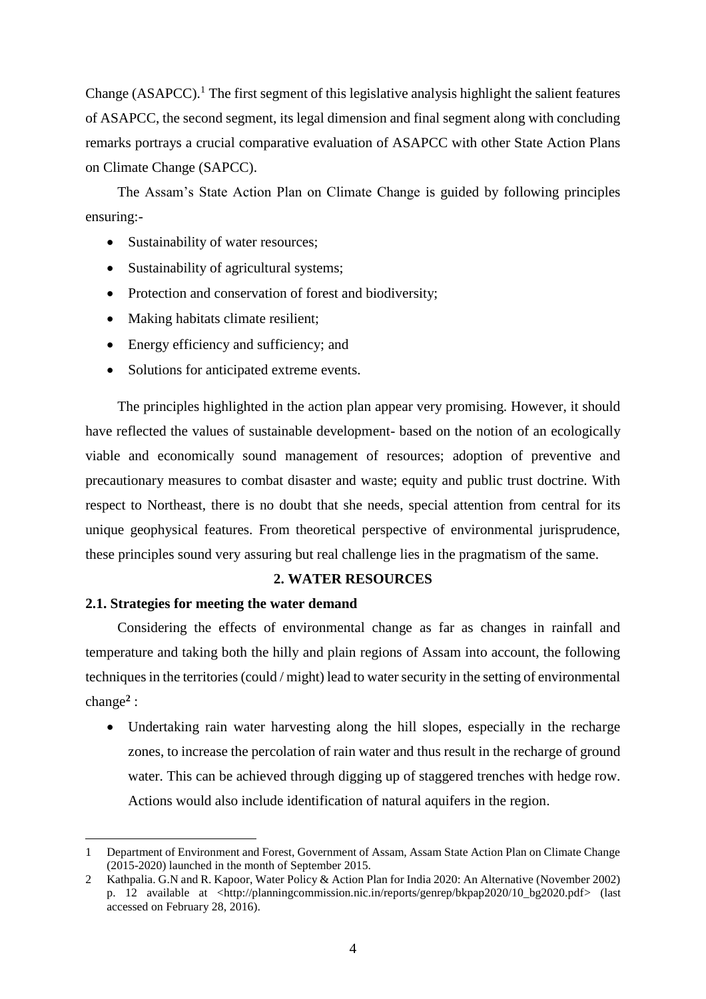Change  $(ASAPCC)$ .<sup>1</sup> The first segment of this legislative analysis highlight the salient features of ASAPCC, the second segment, its legal dimension and final segment along with concluding remarks portrays a crucial comparative evaluation of ASAPCC with other State Action Plans on Climate Change (SAPCC).

The Assam's State Action Plan on Climate Change is guided by following principles ensuring:-

- Sustainability of water resources;
- Sustainability of agricultural systems;
- Protection and conservation of forest and biodiversity;
- Making habitats climate resilient;
- Energy efficiency and sufficiency; and
- Solutions for anticipated extreme events.

The principles highlighted in the action plan appear very promising. However, it should have reflected the values of sustainable development- based on the notion of an ecologically viable and economically sound management of resources; adoption of preventive and precautionary measures to combat disaster and waste; equity and public trust doctrine. With respect to Northeast, there is no doubt that she needs, special attention from central for its unique geophysical features. From theoretical perspective of environmental jurisprudence, these principles sound very assuring but real challenge lies in the pragmatism of the same.

#### **2. WATER RESOURCES**

#### <span id="page-3-1"></span><span id="page-3-0"></span>**2.1. Strategies for meeting the water demand**

 $\overline{a}$ 

Considering the effects of environmental change as far as changes in rainfall and temperature and taking both the hilly and plain regions of Assam into account, the following techniques in the territories (could / might) lead to water security in the setting of environmental change**<sup>2</sup>** :

 Undertaking rain water harvesting along the hill slopes, especially in the recharge zones, to increase the percolation of rain water and thus result in the recharge of ground water. This can be achieved through digging up of staggered trenches with hedge row. Actions would also include identification of natural aquifers in the region.

<sup>1</sup> Department of Environment and Forest, Government of Assam, Assam State Action Plan on Climate Change (2015-2020) launched in the month of September 2015.

<sup>2</sup> Kathpalia. G.N and R. Kapoor, Water Policy & Action Plan for India 2020: An Alternative (November 2002) p. 12 available at <http://planningcommission.nic.in/reports/genrep/bkpap2020/10 bg2020.pdf> (last accessed on February 28, 2016).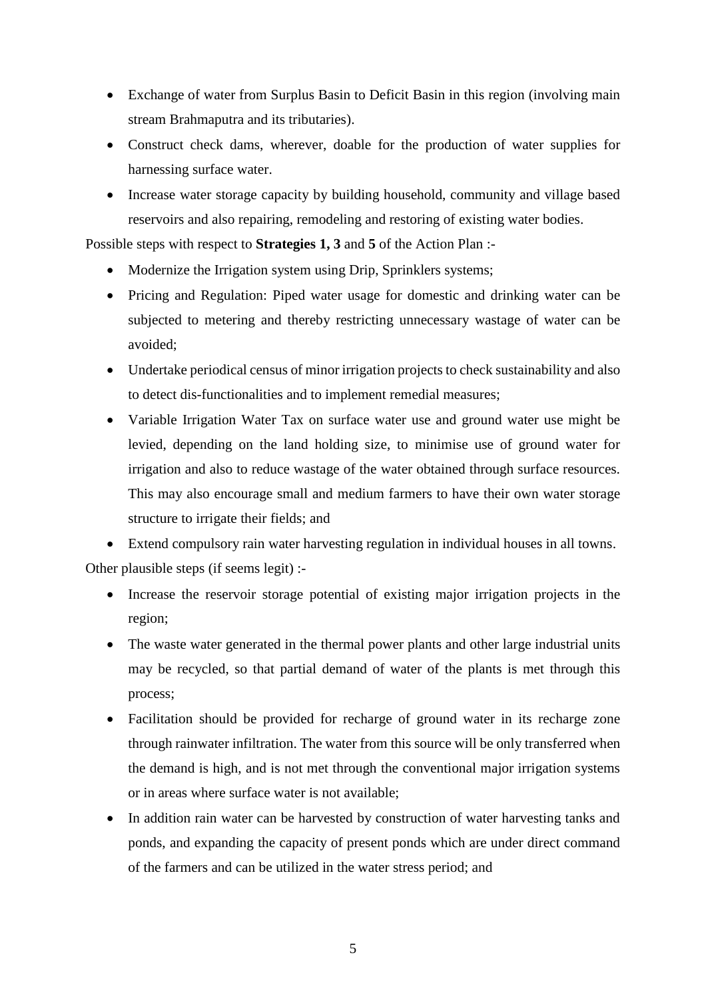- Exchange of water from Surplus Basin to Deficit Basin in this region (involving main stream Brahmaputra and its tributaries).
- Construct check dams, wherever, doable for the production of water supplies for harnessing surface water.
- Increase water storage capacity by building household, community and village based reservoirs and also repairing, remodeling and restoring of existing water bodies.

Possible steps with respect to **Strategies 1, 3** and **5** of the Action Plan :-

- Modernize the Irrigation system using Drip, Sprinklers systems;
- Pricing and Regulation: Piped water usage for domestic and drinking water can be subjected to metering and thereby restricting unnecessary wastage of water can be avoided;
- Undertake periodical census of minor irrigation projects to check sustainability and also to detect dis-functionalities and to implement remedial measures;
- Variable Irrigation Water Tax on surface water use and ground water use might be levied, depending on the land holding size, to minimise use of ground water for irrigation and also to reduce wastage of the water obtained through surface resources. This may also encourage small and medium farmers to have their own water storage structure to irrigate their fields; and

 Extend compulsory rain water harvesting regulation in individual houses in all towns. Other plausible steps (if seems legit) :-

- Increase the reservoir storage potential of existing major irrigation projects in the region;
- The waste water generated in the thermal power plants and other large industrial units may be recycled, so that partial demand of water of the plants is met through this process;
- Facilitation should be provided for recharge of ground water in its recharge zone through rainwater infiltration. The water from this source will be only transferred when the demand is high, and is not met through the conventional major irrigation systems or in areas where surface water is not available;
- In addition rain water can be harvested by construction of water harvesting tanks and ponds, and expanding the capacity of present ponds which are under direct command of the farmers and can be utilized in the water stress period; and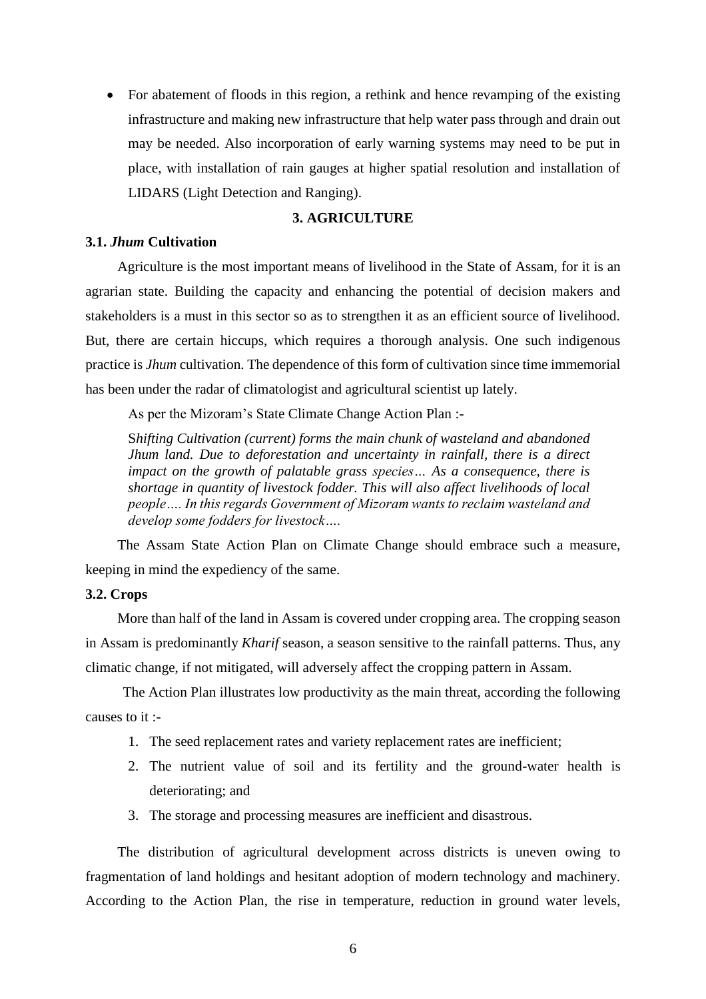• For abatement of floods in this region, a rethink and hence revamping of the existing infrastructure and making new infrastructure that help water pass through and drain out may be needed. Also incorporation of early warning systems may need to be put in place, with installation of rain gauges at higher spatial resolution and installation of LIDARS (Light Detection and Ranging).

#### **3. AGRICULTURE**

#### <span id="page-5-1"></span><span id="page-5-0"></span>**3.1.** *Jhum* **Cultivation**

Agriculture is the most important means of livelihood in the State of Assam, for it is an agrarian state. Building the capacity and enhancing the potential of decision makers and stakeholders is a must in this sector so as to strengthen it as an efficient source of livelihood. But, there are certain hiccups, which requires a thorough analysis. One such indigenous practice is *Jhum* cultivation. The dependence of this form of cultivation since time immemorial has been under the radar of climatologist and agricultural scientist up lately.

As per the Mizoram's State Climate Change Action Plan :-

S*hifting Cultivation (current) forms the main chunk of wasteland and abandoned Jhum land. Due to deforestation and uncertainty in rainfall, there is a direct impact on the growth of palatable grass species… As a consequence, there is shortage in quantity of livestock fodder. This will also affect livelihoods of local people…. In this regards Government of Mizoram wants to reclaim wasteland and develop some fodders for livestock….*

The Assam State Action Plan on Climate Change should embrace such a measure, keeping in mind the expediency of the same.

#### <span id="page-5-2"></span>**3.2. Crops**

More than half of the land in Assam is covered under cropping area. The cropping season in Assam is predominantly *Kharif* season, a season sensitive to the rainfall patterns. Thus, any climatic change, if not mitigated, will adversely affect the cropping pattern in Assam.

The Action Plan illustrates low productivity as the main threat, according the following causes to it :-

- 1. The seed replacement rates and variety replacement rates are inefficient;
- 2. The nutrient value of soil and its fertility and the ground-water health is deteriorating; and
- 3. The storage and processing measures are inefficient and disastrous.

The distribution of agricultural development across districts is uneven owing to fragmentation of land holdings and hesitant adoption of modern technology and machinery. According to the Action Plan, the rise in temperature, reduction in ground water levels,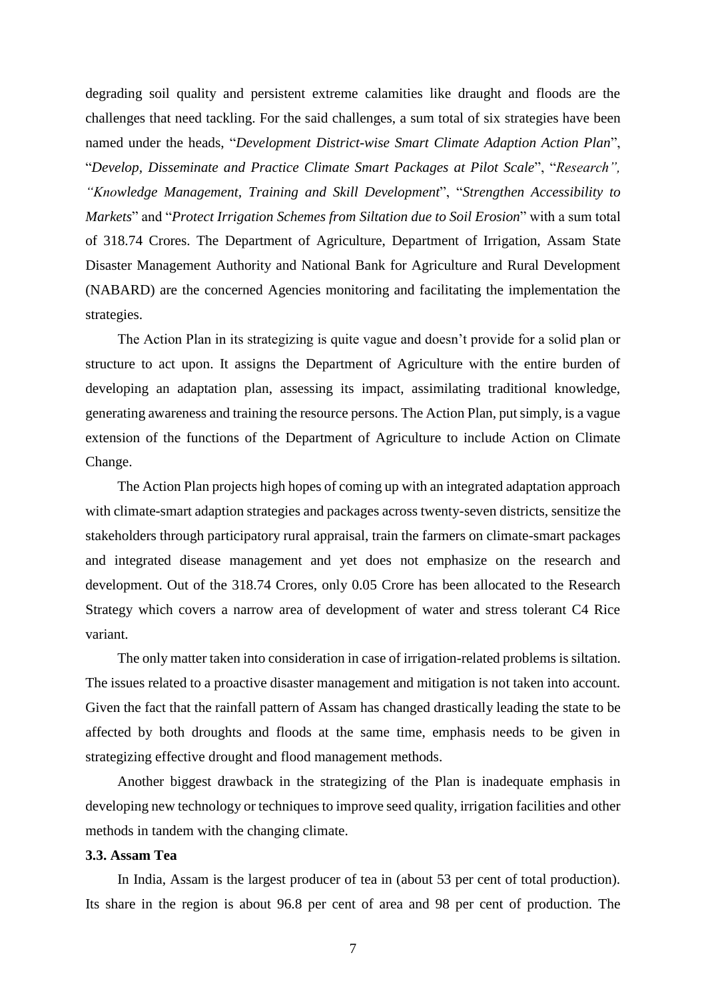degrading soil quality and persistent extreme calamities like draught and floods are the challenges that need tackling. For the said challenges, a sum total of six strategies have been named under the heads, "*Development District-wise Smart Climate Adaption Action Plan*", "*Develop, Disseminate and Practice Climate Smart Packages at Pilot Scale*", "*Research", "Knowledge Management, Training and Skill Development*", "*Strengthen Accessibility to Markets*" and "*Protect Irrigation Schemes from Siltation due to Soil Erosion*" with a sum total of 318.74 Crores. The Department of Agriculture, Department of Irrigation, Assam State Disaster Management Authority and National Bank for Agriculture and Rural Development (NABARD) are the concerned Agencies monitoring and facilitating the implementation the strategies.

The Action Plan in its strategizing is quite vague and doesn't provide for a solid plan or structure to act upon. It assigns the Department of Agriculture with the entire burden of developing an adaptation plan, assessing its impact, assimilating traditional knowledge, generating awareness and training the resource persons. The Action Plan, put simply, is a vague extension of the functions of the Department of Agriculture to include Action on Climate Change.

The Action Plan projects high hopes of coming up with an integrated adaptation approach with climate-smart adaption strategies and packages across twenty-seven districts, sensitize the stakeholders through participatory rural appraisal, train the farmers on climate-smart packages and integrated disease management and yet does not emphasize on the research and development. Out of the 318.74 Crores, only 0.05 Crore has been allocated to the Research Strategy which covers a narrow area of development of water and stress tolerant C4 Rice variant.

The only matter taken into consideration in case of irrigation-related problems is siltation. The issues related to a proactive disaster management and mitigation is not taken into account. Given the fact that the rainfall pattern of Assam has changed drastically leading the state to be affected by both droughts and floods at the same time, emphasis needs to be given in strategizing effective drought and flood management methods.

Another biggest drawback in the strategizing of the Plan is inadequate emphasis in developing new technology or techniques to improve seed quality, irrigation facilities and other methods in tandem with the changing climate.

#### <span id="page-6-0"></span>**3.3. Assam Tea**

In India, Assam is the largest producer of tea in (about 53 per cent of total production). Its share in the region is about 96.8 per cent of area and 98 per cent of production. The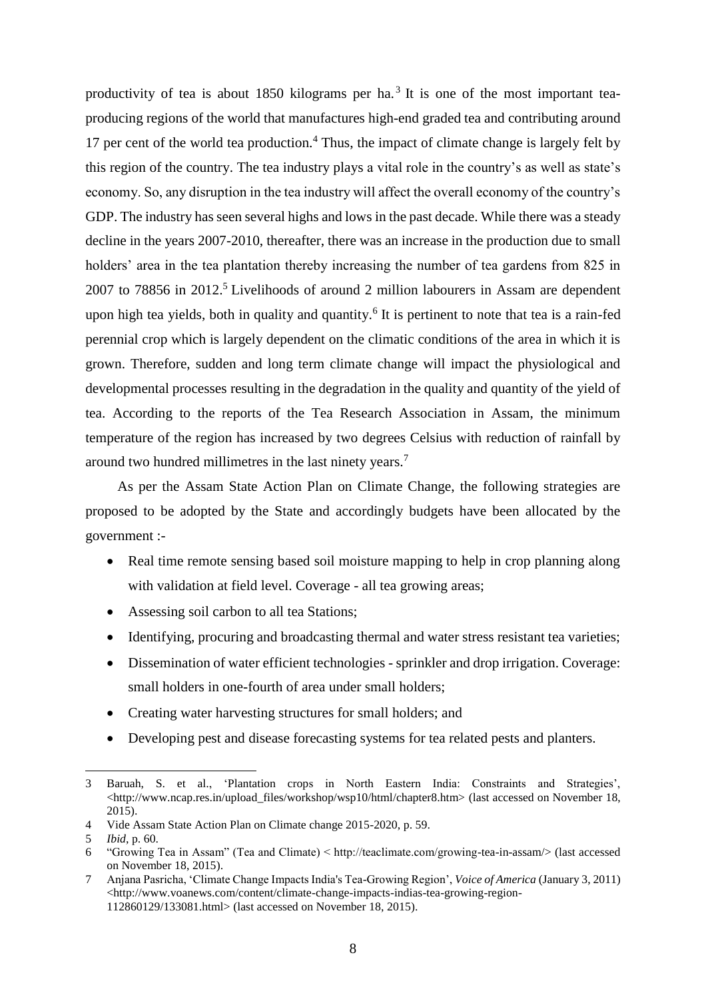productivity of tea is about 1850 kilograms per ha.<sup>3</sup> It is one of the most important teaproducing regions of the world that manufactures high-end graded tea and contributing around 17 per cent of the world tea production.<sup>4</sup> Thus, the impact of climate change is largely felt by this region of the country. The tea industry plays a vital role in the country's as well as state's economy. So, any disruption in the tea industry will affect the overall economy of the country's GDP. The industry has seen several highs and lows in the past decade. While there was a steady decline in the years 2007-2010, thereafter, there was an increase in the production due to small holders' area in the tea plantation thereby increasing the number of tea gardens from 825 in 2007 to 78856 in 2012.<sup>5</sup> Livelihoods of around 2 million labourers in Assam are dependent upon high tea yields, both in quality and quantity.<sup>6</sup> It is pertinent to note that tea is a rain-fed perennial crop which is largely dependent on the climatic conditions of the area in which it is grown. Therefore, sudden and long term climate change will impact the physiological and developmental processes resulting in the degradation in the quality and quantity of the yield of tea. According to the reports of the Tea Research Association in Assam, the minimum temperature of the region has increased by two degrees Celsius with reduction of rainfall by around two hundred millimetres in the last ninety years.<sup>7</sup>

As per the Assam State Action Plan on Climate Change, the following strategies are proposed to be adopted by the State and accordingly budgets have been allocated by the government :-

- Real time remote sensing based soil moisture mapping to help in crop planning along with validation at field level. Coverage - all tea growing areas;
- Assessing soil carbon to all tea Stations;
- Identifying, procuring and broadcasting thermal and water stress resistant tea varieties;
- Dissemination of water efficient technologies sprinkler and drop irrigation. Coverage: small holders in one-fourth of area under small holders;
- Creating water harvesting structures for small holders; and
- Developing pest and disease forecasting systems for tea related pests and planters.

 $\overline{a}$ 

<sup>3</sup> Baruah, S. et al., 'Plantation crops in North Eastern India: Constraints and Strategies', <http://www.ncap.res.in/upload\_files/workshop/wsp10/html/chapter8.htm> (last accessed on November 18, 2015).

<sup>4</sup> Vide Assam State Action Plan on Climate change 2015-2020, p. 59.

<sup>5</sup> *Ibid*, p. 60.

<sup>6</sup> "Growing Tea in Assam" (Tea and Climate) < http://teaclimate.com/growing-tea-in-assam/> (last accessed on November 18, 2015).

<sup>7</sup> Anjana Pasricha, 'Climate Change Impacts India's Tea-Growing Region', *Voice of America* (January 3, 2011) <http://www.voanews.com/content/climate-change-impacts-indias-tea-growing-region-112860129/133081.html> (last accessed on November 18, 2015).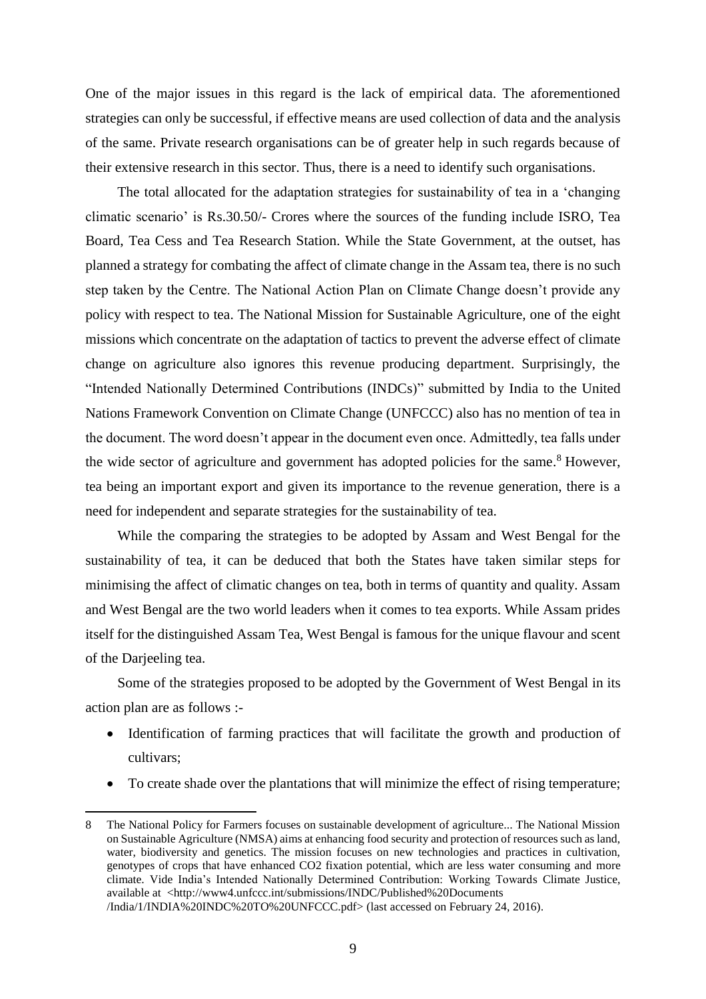One of the major issues in this regard is the lack of empirical data. The aforementioned strategies can only be successful, if effective means are used collection of data and the analysis of the same. Private research organisations can be of greater help in such regards because of their extensive research in this sector. Thus, there is a need to identify such organisations.

The total allocated for the adaptation strategies for sustainability of tea in a 'changing climatic scenario' is Rs.30.50/- Crores where the sources of the funding include ISRO, Tea Board, Tea Cess and Tea Research Station. While the State Government, at the outset, has planned a strategy for combating the affect of climate change in the Assam tea, there is no such step taken by the Centre. The National Action Plan on Climate Change doesn't provide any policy with respect to tea. The National Mission for Sustainable Agriculture, one of the eight missions which concentrate on the adaptation of tactics to prevent the adverse effect of climate change on agriculture also ignores this revenue producing department. Surprisingly, the "Intended Nationally Determined Contributions (INDCs)" submitted by India to the United Nations Framework Convention on Climate Change (UNFCCC) also has no mention of tea in the document. The word doesn't appear in the document even once. Admittedly, tea falls under the wide sector of agriculture and government has adopted policies for the same.<sup>8</sup> However, tea being an important export and given its importance to the revenue generation, there is a need for independent and separate strategies for the sustainability of tea.

While the comparing the strategies to be adopted by Assam and West Bengal for the sustainability of tea, it can be deduced that both the States have taken similar steps for minimising the affect of climatic changes on tea, both in terms of quantity and quality. Assam and West Bengal are the two world leaders when it comes to tea exports. While Assam prides itself for the distinguished Assam Tea, West Bengal is famous for the unique flavour and scent of the Darjeeling tea.

Some of the strategies proposed to be adopted by the Government of West Bengal in its action plan are as follows :-

- Identification of farming practices that will facilitate the growth and production of cultivars;
- To create shade over the plantations that will minimize the effect of rising temperature;

 $\overline{a}$ 

<sup>8</sup> The National Policy for Farmers focuses on sustainable development of agriculture... The National Mission on Sustainable Agriculture (NMSA) aims at enhancing food security and protection of resources such as land, water, biodiversity and genetics. The mission focuses on new technologies and practices in cultivation, genotypes of crops that have enhanced CO2 fixation potential, which are less water consuming and more climate. Vide India's Intended Nationally Determined Contribution: Working Towards Climate Justice, available at [<http://www4.unfccc.int/submissions/INDC/Published%20Documents](http://www4.unfccc.int/submissions/INDC/Published%20Documents) /India/1/INDIA%20INDC%20TO%20UNFCCC.pdf> (last accessed on February 24, 2016).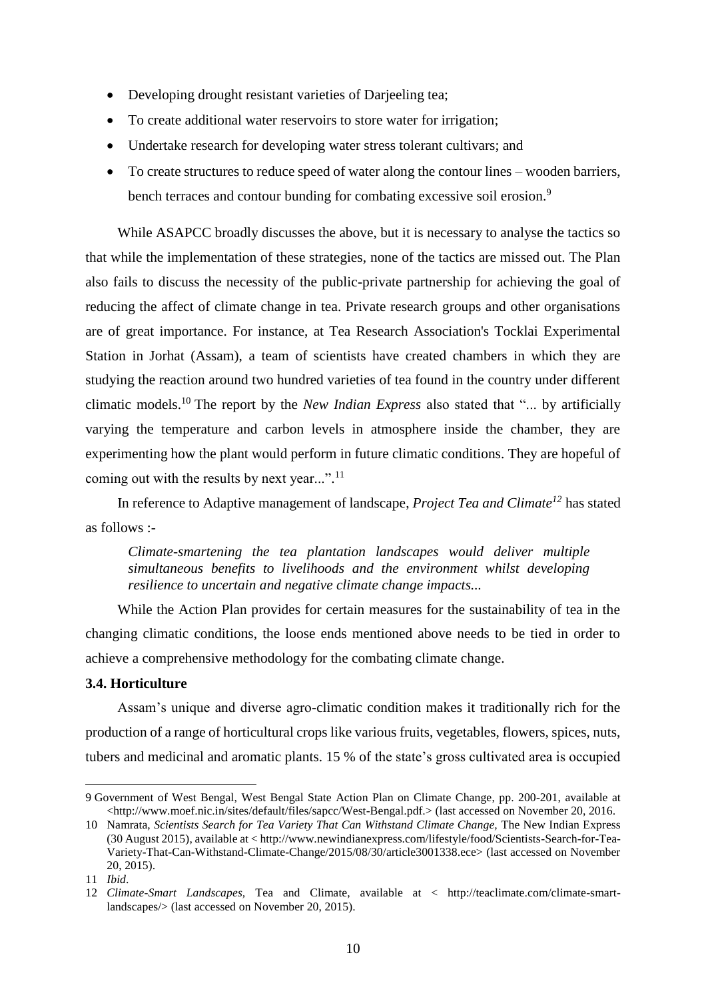- Developing drought resistant varieties of Darjeeling tea;
- To create additional water reservoirs to store water for irrigation;
- Undertake research for developing water stress tolerant cultivars; and
- To create structures to reduce speed of water along the contour lines wooden barriers, bench terraces and contour bunding for combating excessive soil erosion.<sup>9</sup>

While ASAPCC broadly discusses the above, but it is necessary to analyse the tactics so that while the implementation of these strategies, none of the tactics are missed out. The Plan also fails to discuss the necessity of the public-private partnership for achieving the goal of reducing the affect of climate change in tea. Private research groups and other organisations are of great importance. For instance, at Tea Research Association's Tocklai Experimental Station in Jorhat (Assam), a team of scientists have created chambers in which they are studying the reaction around two hundred varieties of tea found in the country under different climatic models.<sup>10</sup> The report by the *New Indian Express* also stated that "... by artificially varying the temperature and carbon levels in atmosphere inside the chamber, they are experimenting how the plant would perform in future climatic conditions. They are hopeful of coming out with the results by next year...".<sup>11</sup>

In reference to Adaptive management of landscape, *Project Tea and Climate<sup>12</sup>* has stated as follows :-

*Climate-smartening the tea plantation landscapes would deliver multiple simultaneous benefits to livelihoods and the environment whilst developing resilience to uncertain and negative climate change impacts...*

While the Action Plan provides for certain measures for the sustainability of tea in the changing climatic conditions, the loose ends mentioned above needs to be tied in order to achieve a comprehensive methodology for the combating climate change.

#### <span id="page-9-0"></span>**3.4. Horticulture**

Assam's unique and diverse agro-climatic condition makes it traditionally rich for the production of a range of horticultural crops like various fruits, vegetables, flowers, spices, nuts, tubers and medicinal and aromatic plants. 15 % of the state's gross cultivated area is occupied

<sup>9</sup> Government of West Bengal, West Bengal State Action Plan on Climate Change, pp. 200-201, available at <http://www.moef.nic.in/sites/default/files/sapcc/West-Bengal.pdf.> (last accessed on November 20, 2016.

<sup>10</sup> Namrata, *Scientists Search for Tea Variety That Can Withstand Climate Change*, The New Indian Express (30 August 2015), available at < http://www.newindianexpress.com/lifestyle/food/Scientists-Search-for-Tea-Variety-That-Can-Withstand-Climate-Change/2015/08/30/article3001338.ece> (last accessed on November 20, 2015).

<sup>11</sup> *Ibid*.

<sup>12</sup> *Climate-Smart Landscapes,* Tea and Climate, available at < http://teaclimate.com/climate-smartlandscapes/> (last accessed on November 20, 2015).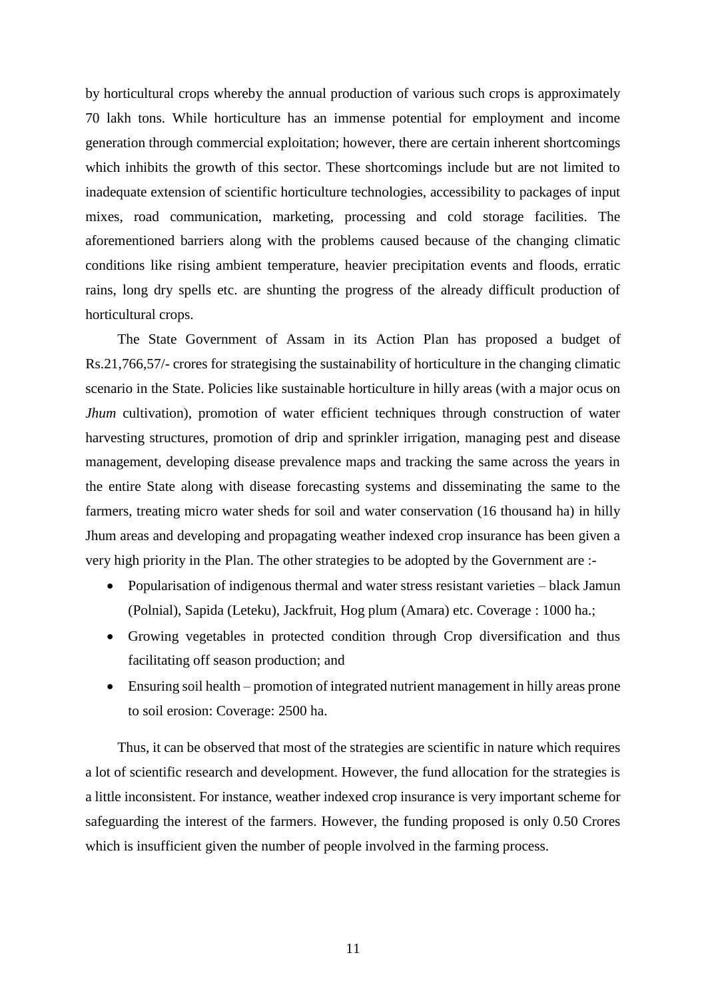by horticultural crops whereby the annual production of various such crops is approximately 70 lakh tons. While horticulture has an immense potential for employment and income generation through commercial exploitation; however, there are certain inherent shortcomings which inhibits the growth of this sector. These shortcomings include but are not limited to inadequate extension of scientific horticulture technologies, accessibility to packages of input mixes, road communication, marketing, processing and cold storage facilities. The aforementioned barriers along with the problems caused because of the changing climatic conditions like rising ambient temperature, heavier precipitation events and floods, erratic rains, long dry spells etc. are shunting the progress of the already difficult production of horticultural crops.

The State Government of Assam in its Action Plan has proposed a budget of Rs.21,766,57/- crores for strategising the sustainability of horticulture in the changing climatic scenario in the State. Policies like sustainable horticulture in hilly areas (with a major ocus on *Jhum* cultivation), promotion of water efficient techniques through construction of water harvesting structures, promotion of drip and sprinkler irrigation, managing pest and disease management, developing disease prevalence maps and tracking the same across the years in the entire State along with disease forecasting systems and disseminating the same to the farmers, treating micro water sheds for soil and water conservation (16 thousand ha) in hilly Jhum areas and developing and propagating weather indexed crop insurance has been given a very high priority in the Plan. The other strategies to be adopted by the Government are :-

- Popularisation of indigenous thermal and water stress resistant varieties black Jamun (Polnial), Sapida (Leteku), Jackfruit, Hog plum (Amara) etc. Coverage : 1000 ha.;
- Growing vegetables in protected condition through Crop diversification and thus facilitating off season production; and
- Ensuring soil health promotion of integrated nutrient management in hilly areas prone to soil erosion: Coverage: 2500 ha.

Thus, it can be observed that most of the strategies are scientific in nature which requires a lot of scientific research and development. However, the fund allocation for the strategies is a little inconsistent. For instance, weather indexed crop insurance is very important scheme for safeguarding the interest of the farmers. However, the funding proposed is only 0.50 Crores which is insufficient given the number of people involved in the farming process.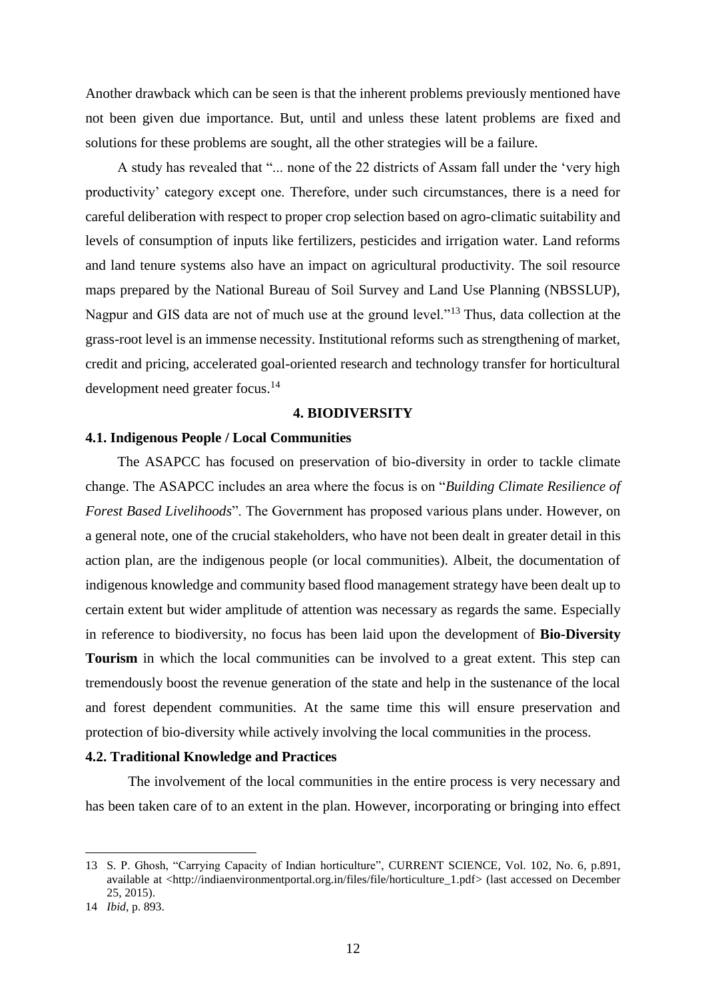Another drawback which can be seen is that the inherent problems previously mentioned have not been given due importance. But, until and unless these latent problems are fixed and solutions for these problems are sought, all the other strategies will be a failure.

A study has revealed that "... none of the 22 districts of Assam fall under the 'very high productivity' category except one. Therefore, under such circumstances, there is a need for careful deliberation with respect to proper crop selection based on agro-climatic suitability and levels of consumption of inputs like fertilizers, pesticides and irrigation water. Land reforms and land tenure systems also have an impact on agricultural productivity. The soil resource maps prepared by the National Bureau of Soil Survey and Land Use Planning (NBSSLUP), Nagpur and GIS data are not of much use at the ground level."<sup>13</sup> Thus, data collection at the grass-root level is an immense necessity. Institutional reforms such as strengthening of market, credit and pricing, accelerated goal-oriented research and technology transfer for horticultural development need greater focus.<sup>14</sup>

#### **4. BIODIVERSITY**

#### <span id="page-11-1"></span><span id="page-11-0"></span>**4.1. Indigenous People / Local Communities**

The ASAPCC has focused on preservation of bio-diversity in order to tackle climate change. The ASAPCC includes an area where the focus is on "*Building Climate Resilience of Forest Based Livelihoods*". The Government has proposed various plans under. However, on a general note, one of the crucial stakeholders, who have not been dealt in greater detail in this action plan, are the indigenous people (or local communities). Albeit, the documentation of indigenous knowledge and community based flood management strategy have been dealt up to certain extent but wider amplitude of attention was necessary as regards the same. Especially in reference to biodiversity, no focus has been laid upon the development of **Bio-Diversity Tourism** in which the local communities can be involved to a great extent. This step can tremendously boost the revenue generation of the state and help in the sustenance of the local and forest dependent communities. At the same time this will ensure preservation and protection of bio-diversity while actively involving the local communities in the process.

#### <span id="page-11-2"></span>**4.2. Traditional Knowledge and Practices**

The involvement of the local communities in the entire process is very necessary and has been taken care of to an extent in the plan. However, incorporating or bringing into effect

<sup>13</sup> S. P. Ghosh, "Carrying Capacity of Indian horticulture", CURRENT SCIENCE, Vol. 102, No. 6, p.891, available at [<http://indiaenvironmentportal.org.in/files/file/horticulture\\_1.pdf>](http://indiaenvironmentportal.org.in/files/file/horticulture_1.pdf) (last accessed on December 25, 2015).

<sup>14</sup> *Ibid*, p. 893.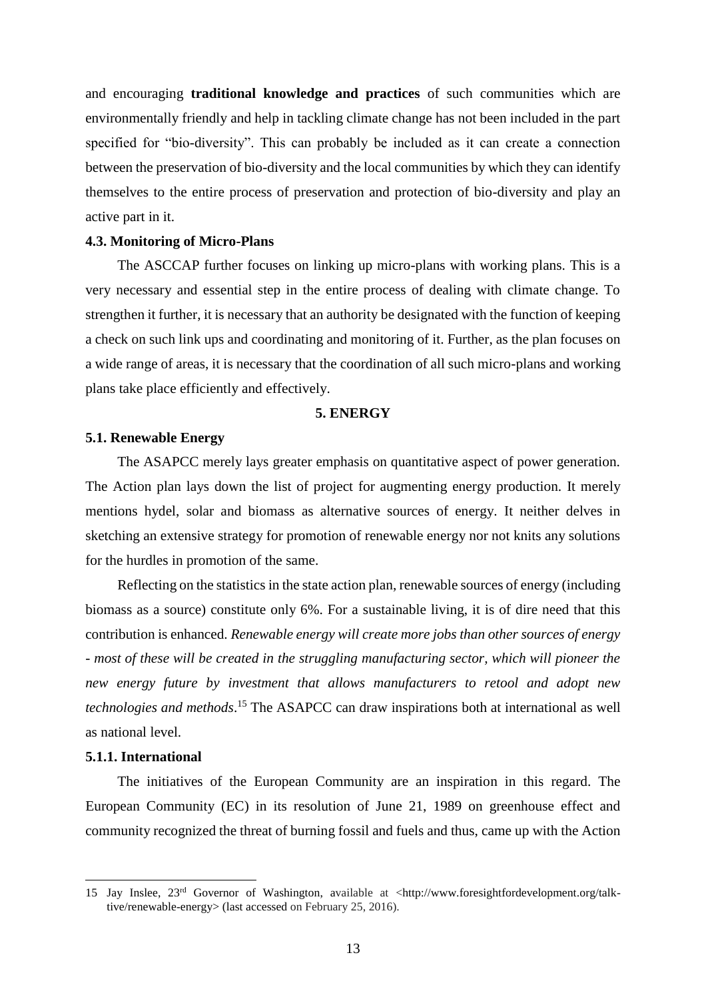and encouraging **traditional knowledge and practices** of such communities which are environmentally friendly and help in tackling climate change has not been included in the part specified for "bio-diversity". This can probably be included as it can create a connection between the preservation of bio-diversity and the local communities by which they can identify themselves to the entire process of preservation and protection of bio-diversity and play an active part in it.

#### <span id="page-12-0"></span>**4.3. Monitoring of Micro-Plans**

The ASCCAP further focuses on linking up micro-plans with working plans. This is a very necessary and essential step in the entire process of dealing with climate change. To strengthen it further, it is necessary that an authority be designated with the function of keeping a check on such link ups and coordinating and monitoring of it. Further, as the plan focuses on a wide range of areas, it is necessary that the coordination of all such micro-plans and working plans take place efficiently and effectively.

#### **5. ENERGY**

#### <span id="page-12-2"></span><span id="page-12-1"></span>**5.1. Renewable Energy**

The ASAPCC merely lays greater emphasis on quantitative aspect of power generation. The Action plan lays down the list of project for augmenting energy production. It merely mentions hydel, solar and biomass as alternative sources of energy. It neither delves in sketching an extensive strategy for promotion of renewable energy nor not knits any solutions for the hurdles in promotion of the same.

Reflecting on the statistics in the state action plan, renewable sources of energy (including biomass as a source) constitute only 6%. For a sustainable living, it is of dire need that this contribution is enhanced. *Renewable energy will create more jobs than other sources of energy - most of these will be created in the struggling manufacturing sector, which will pioneer the new energy future by investment that allows manufacturers to retool and adopt new technologies and methods*. <sup>15</sup> The ASAPCC can draw inspirations both at international as well as national level.

#### <span id="page-12-3"></span>**5.1.1. International**

 $\overline{\phantom{a}}$ 

The initiatives of the European Community are an inspiration in this regard. The European Community (EC) in its resolution of June 21, 1989 on greenhouse effect and community recognized the threat of burning fossil and fuels and thus, came up with the Action

<sup>15</sup> Jay Inslee, 23rd Governor of Washington, available at <http://www.foresightfordevelopment.org/talktive/renewable-energy> (last accessed on February 25, 2016).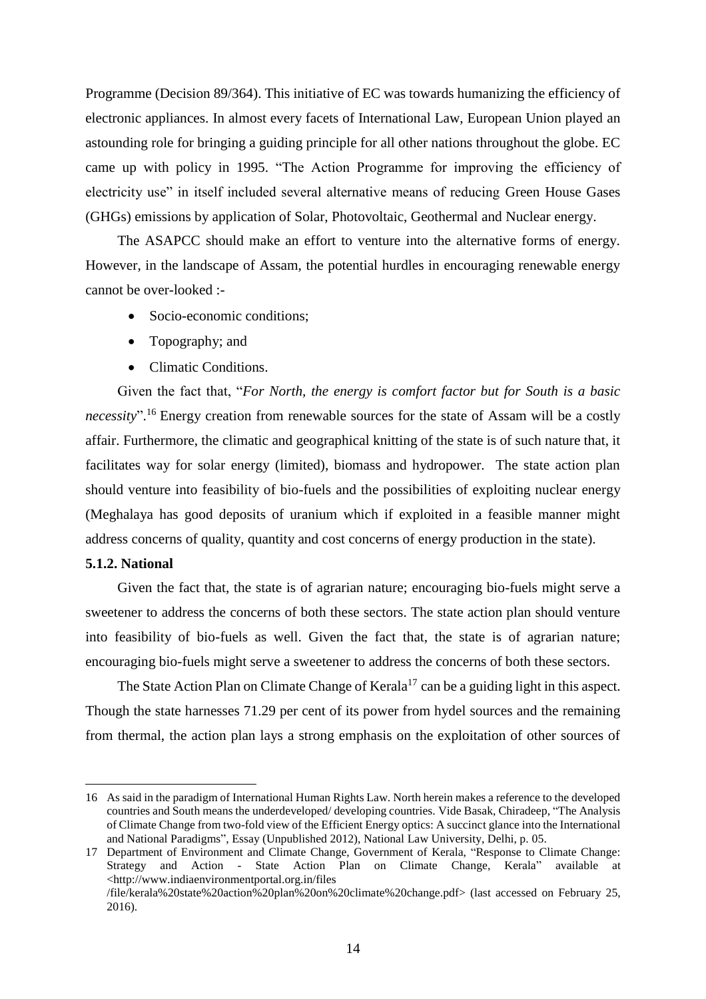Programme (Decision 89/364). This initiative of EC was towards humanizing the efficiency of electronic appliances. In almost every facets of International Law, European Union played an astounding role for bringing a guiding principle for all other nations throughout the globe. EC came up with policy in 1995. "The Action Programme for improving the efficiency of electricity use" in itself included several alternative means of reducing Green House Gases (GHGs) emissions by application of Solar, Photovoltaic, Geothermal and Nuclear energy.

The ASAPCC should make an effort to venture into the alternative forms of energy. However, in the landscape of Assam, the potential hurdles in encouraging renewable energy cannot be over-looked :-

- Socio-economic conditions;
- Topography; and
- Climatic Conditions.

Given the fact that, "*For North, the energy is comfort factor but for South is a basic necessity*". <sup>16</sup> Energy creation from renewable sources for the state of Assam will be a costly affair. Furthermore, the climatic and geographical knitting of the state is of such nature that, it facilitates way for solar energy (limited), biomass and hydropower. The state action plan should venture into feasibility of bio-fuels and the possibilities of exploiting nuclear energy (Meghalaya has good deposits of uranium which if exploited in a feasible manner might address concerns of quality, quantity and cost concerns of energy production in the state).

#### <span id="page-13-0"></span>**5.1.2. National**

 $\overline{\phantom{a}}$ 

Given the fact that, the state is of agrarian nature; encouraging bio-fuels might serve a sweetener to address the concerns of both these sectors. The state action plan should venture into feasibility of bio-fuels as well. Given the fact that, the state is of agrarian nature; encouraging bio-fuels might serve a sweetener to address the concerns of both these sectors.

The State Action Plan on Climate Change of Kerala<sup>17</sup> can be a guiding light in this aspect. Though the state harnesses 71.29 per cent of its power from hydel sources and the remaining from thermal, the action plan lays a strong emphasis on the exploitation of other sources of

<sup>16</sup> As said in the paradigm of International Human Rights Law. North herein makes a reference to the developed countries and South means the underdeveloped/ developing countries. Vide Basak, Chiradeep, "The Analysis of Climate Change from two-fold view of the Efficient Energy optics: A succinct glance into the International and National Paradigms", Essay (Unpublished 2012), National Law University, Delhi, p. 05.

<sup>17</sup> Department of Environment and Climate Change, Government of Kerala, "Response to Climate Change: Strategy and Action - State Action Plan on Climate Change, Kerala" available [<http://www.indiaenvironmentportal.org.in/files](http://www.indiaenvironmentportal.org.in/files) /file/kerala%20state%20action%20plan%20on%20climate%20change.pdf> (last accessed on February 25,

<sup>2016).</sup>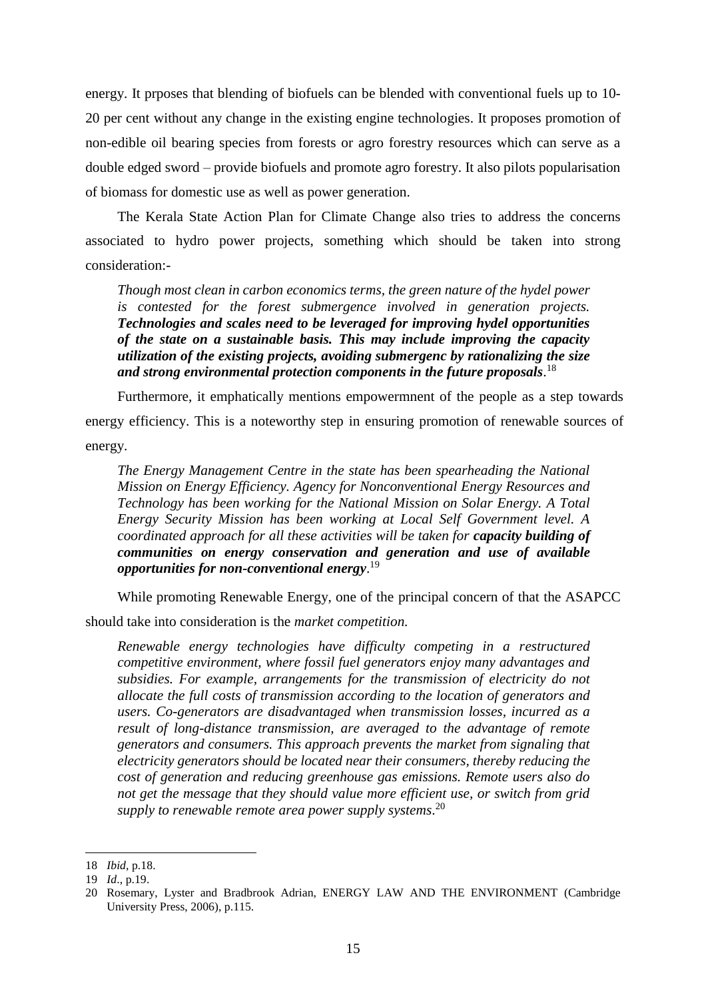energy. It prposes that blending of biofuels can be blended with conventional fuels up to 10- 20 per cent without any change in the existing engine technologies. It proposes promotion of non-edible oil bearing species from forests or agro forestry resources which can serve as a double edged sword – provide biofuels and promote agro forestry. It also pilots popularisation of biomass for domestic use as well as power generation.

The Kerala State Action Plan for Climate Change also tries to address the concerns associated to hydro power projects, something which should be taken into strong consideration:-

*Though most clean in carbon economics terms, the green nature of the hydel power is contested for the forest submergence involved in generation projects. Technologies and scales need to be leveraged for improving hydel opportunities of the state on a sustainable basis. This may include improving the capacity utilization of the existing projects, avoiding submergenc by rationalizing the size and strong environmental protection components in the future proposals*. 18

Furthermore, it emphatically mentions empowermnent of the people as a step towards energy efficiency. This is a noteworthy step in ensuring promotion of renewable sources of energy.

*The Energy Management Centre in the state has been spearheading the National Mission on Energy Efficiency. Agency for Nonconventional Energy Resources and Technology has been working for the National Mission on Solar Energy. A Total Energy Security Mission has been working at Local Self Government level. A coordinated approach for all these activities will be taken for <i>capacity building of communities on energy conservation and generation and use of available opportunities for non-conventional energy*. 19

While promoting Renewable Energy, one of the principal concern of that the ASAPCC

should take into consideration is the *market competition.*

*Renewable energy technologies have difficulty competing in a restructured competitive environment, where fossil fuel generators enjoy many advantages and subsidies. For example, arrangements for the transmission of electricity do not allocate the full costs of transmission according to the location of generators and users. Co-generators are disadvantaged when transmission losses, incurred as a result of long-distance transmission, are averaged to the advantage of remote generators and consumers. This approach prevents the market from signaling that electricity generators should be located near their consumers, thereby reducing the cost of generation and reducing greenhouse gas emissions. Remote users also do not get the message that they should value more efficient use, or switch from grid supply to renewable remote area power supply systems*. 20

<sup>18</sup> *Ibid*, p.18.

<sup>19</sup> *Id*., p.19.

<sup>20</sup> Rosemary, Lyster and Bradbrook Adrian, ENERGY LAW AND THE ENVIRONMENT (Cambridge University Press, 2006), p.115.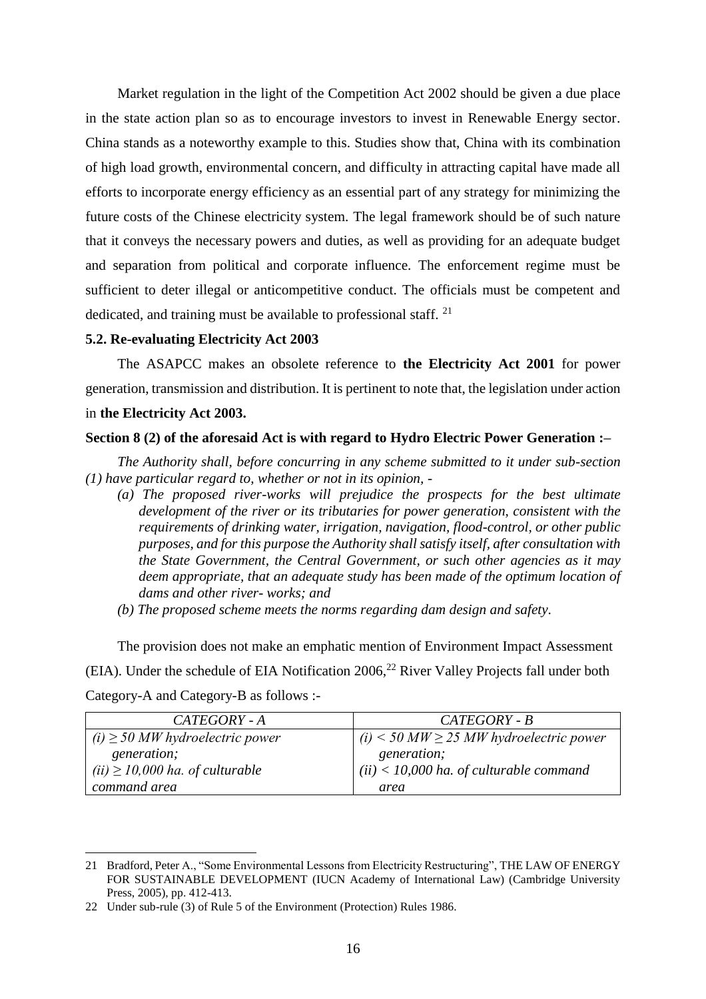Market regulation in the light of the Competition Act 2002 should be given a due place in the state action plan so as to encourage investors to invest in Renewable Energy sector. China stands as a noteworthy example to this. Studies show that, China with its combination of high load growth, environmental concern, and difficulty in attracting capital have made all efforts to incorporate energy efficiency as an essential part of any strategy for minimizing the future costs of the Chinese electricity system. The legal framework should be of such nature that it conveys the necessary powers and duties, as well as providing for an adequate budget and separation from political and corporate influence. The enforcement regime must be sufficient to deter illegal or anticompetitive conduct. The officials must be competent and dedicated, and training must be available to professional staff. <sup>21</sup>

#### <span id="page-15-0"></span>**5.2. Re-evaluating Electricity Act 2003**

The ASAPCC makes an obsolete reference to **the Electricity Act 2001** for power generation, transmission and distribution. It is pertinent to note that, the legislation under action in **the Electricity Act 2003.**

#### **Section 8 (2) of the aforesaid Act is with regard to Hydro Electric Power Generation :–**

*The Authority shall, before concurring in any scheme submitted to it under sub-section (1) have particular regard to, whether or not in its opinion, -*

- *(a) The proposed river-works will prejudice the prospects for the best ultimate development of the river or its tributaries for power generation, consistent with the requirements of drinking water, irrigation, navigation, flood-control, or other public purposes, and for this purpose the Authority shall satisfy itself, after consultation with the State Government, the Central Government, or such other agencies as it may deem appropriate, that an adequate study has been made of the optimum location of dams and other river- works; and*
- *(b) The proposed scheme meets the norms regarding dam design and safety.*

The provision does not make an emphatic mention of Environment Impact Assessment (EIA). Under the schedule of EIA Notification 2006, <sup>22</sup> River Valley Projects fall under both Category-A and Category-B as follows :-

| CATEGORY - A                         | CATEGORY - B                                  |
|--------------------------------------|-----------------------------------------------|
| $(i) \geq 50$ MW hydroelectric power | $(i)$ < 50 MW $\ge$ 25 MW hydroelectric power |
| <i>generation;</i>                   | <i>generation;</i>                            |
| $(ii) \ge 10,000$ ha. of culturable  | $(ii)$ < 10,000 ha. of culturable command     |
| command area                         | area                                          |

<sup>21</sup> Bradford, Peter A., "Some Environmental Lessons from Electricity Restructuring", THE LAW OF ENERGY FOR SUSTAINABLE DEVELOPMENT (IUCN Academy of International Law) (Cambridge University Press, 2005), pp. 412-413.

<sup>22</sup> Under sub-rule (3) of Rule 5 of the Environment (Protection) Rules 1986.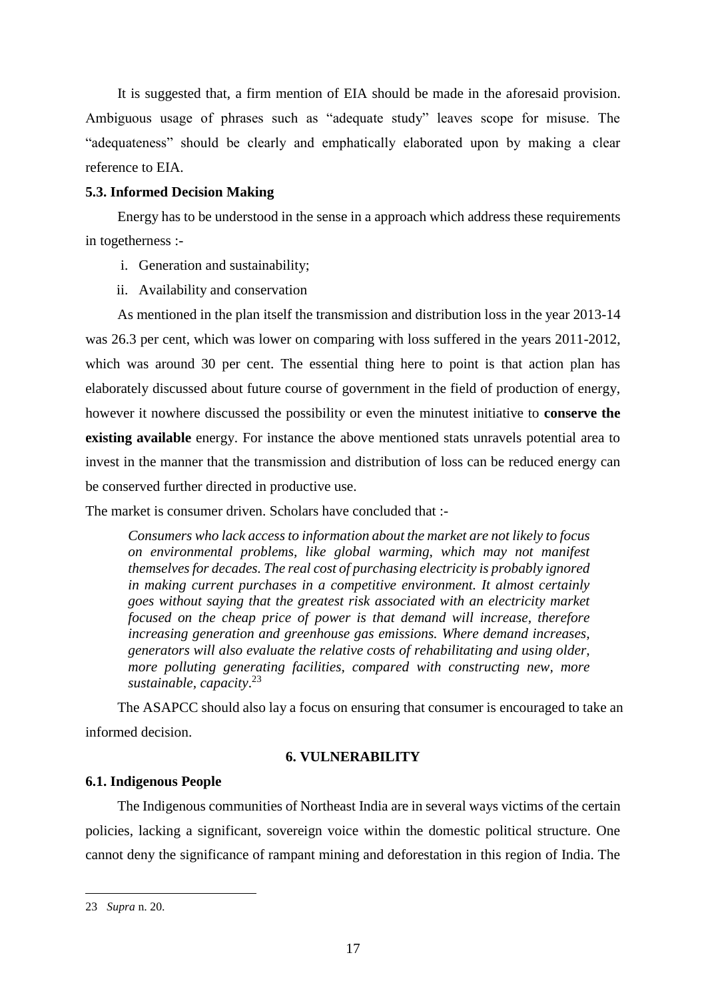It is suggested that, a firm mention of EIA should be made in the aforesaid provision. Ambiguous usage of phrases such as "adequate study" leaves scope for misuse. The "adequateness" should be clearly and emphatically elaborated upon by making a clear reference to EIA.

#### <span id="page-16-0"></span>**5.3. Informed Decision Making**

Energy has to be understood in the sense in a approach which address these requirements in togetherness :-

- i. Generation and sustainability;
- ii. Availability and conservation

As mentioned in the plan itself the transmission and distribution loss in the year 2013-14 was 26.3 per cent, which was lower on comparing with loss suffered in the years 2011-2012, which was around 30 per cent. The essential thing here to point is that action plan has elaborately discussed about future course of government in the field of production of energy, however it nowhere discussed the possibility or even the minutest initiative to **conserve the existing available** energy. For instance the above mentioned stats unravels potential area to invest in the manner that the transmission and distribution of loss can be reduced energy can be conserved further directed in productive use.

The market is consumer driven. Scholars have concluded that :-

*Consumers who lack access to information about the market are not likely to focus on environmental problems, like global warming, which may not manifest themselves for decades. The real cost of purchasing electricity is probably ignored in making current purchases in a competitive environment. It almost certainly goes without saying that the greatest risk associated with an electricity market focused on the cheap price of power is that demand will increase, therefore increasing generation and greenhouse gas emissions. Where demand increases, generators will also evaluate the relative costs of rehabilitating and using older, more polluting generating facilities, compared with constructing new, more sustainable, capacity*. 23

The ASAPCC should also lay a focus on ensuring that consumer is encouraged to take an informed decision.

#### **6. VULNERABILITY**

#### <span id="page-16-2"></span><span id="page-16-1"></span>**6.1. Indigenous People**

The Indigenous communities of Northeast India are in several ways victims of the certain policies, lacking a significant, sovereign voice within the domestic political structure. One cannot deny the significance of rampant mining and deforestation in this region of India. The

<sup>23</sup> *Supra* n. 20.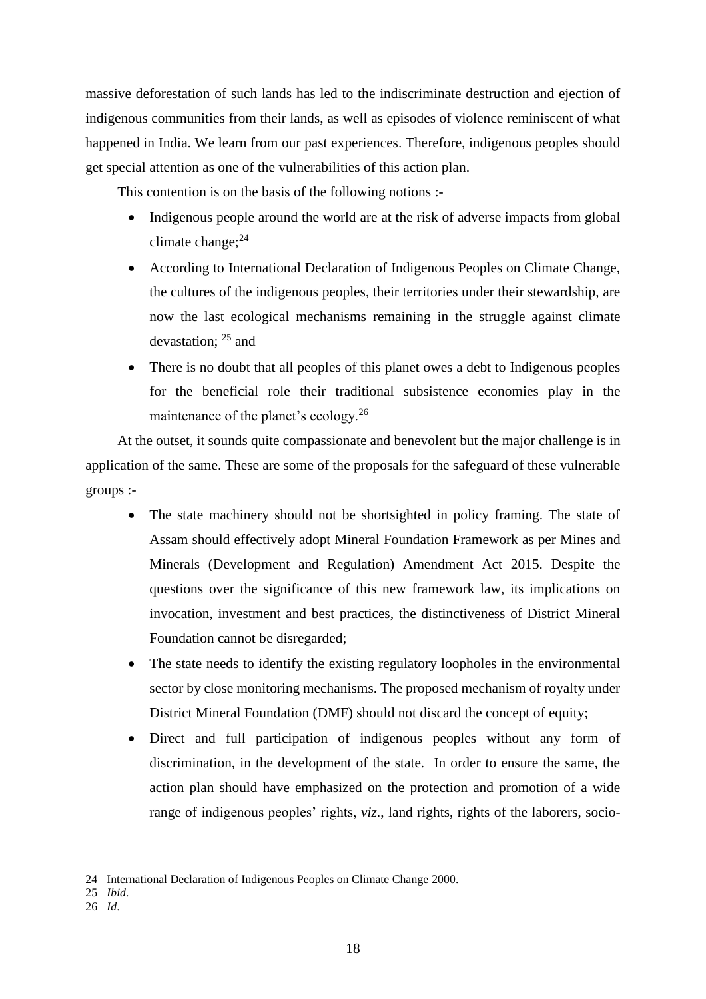massive deforestation of such lands has led to the indiscriminate destruction and ejection of indigenous communities from their lands, as well as episodes of violence reminiscent of what happened in India. We learn from our past experiences. Therefore, indigenous peoples should get special attention as one of the vulnerabilities of this action plan.

This contention is on the basis of the following notions :-

- Indigenous people around the world are at the risk of adverse impacts from global climate change; $^{24}$
- According to International Declaration of Indigenous Peoples on Climate Change, the cultures of the indigenous peoples, their territories under their stewardship, are now the last ecological mechanisms remaining in the struggle against climate devastation; <sup>25</sup> and
- There is no doubt that all peoples of this planet owes a debt to Indigenous peoples for the beneficial role their traditional subsistence economies play in the maintenance of the planet's ecology.<sup>26</sup>

At the outset, it sounds quite compassionate and benevolent but the major challenge is in application of the same. These are some of the proposals for the safeguard of these vulnerable groups :-

- The state machinery should not be shortsighted in policy framing. The state of Assam should effectively adopt Mineral Foundation Framework as per Mines and Minerals (Development and Regulation) Amendment Act 2015. Despite the questions over the significance of this new framework law, its implications on invocation, investment and best practices, the distinctiveness of District Mineral Foundation cannot be disregarded;
- The state needs to identify the existing regulatory loopholes in the environmental sector by close monitoring mechanisms. The proposed mechanism of royalty under District Mineral Foundation (DMF) should not discard the concept of equity;
- Direct and full participation of indigenous peoples without any form of discrimination, in the development of the state. In order to ensure the same, the action plan should have emphasized on the protection and promotion of a wide range of indigenous peoples' rights, *viz*., land rights, rights of the laborers, socio-

<sup>24</sup> International Declaration of Indigenous Peoples on Climate Change 2000.

<sup>25</sup> *Ibid*.

<sup>26</sup> *Id*.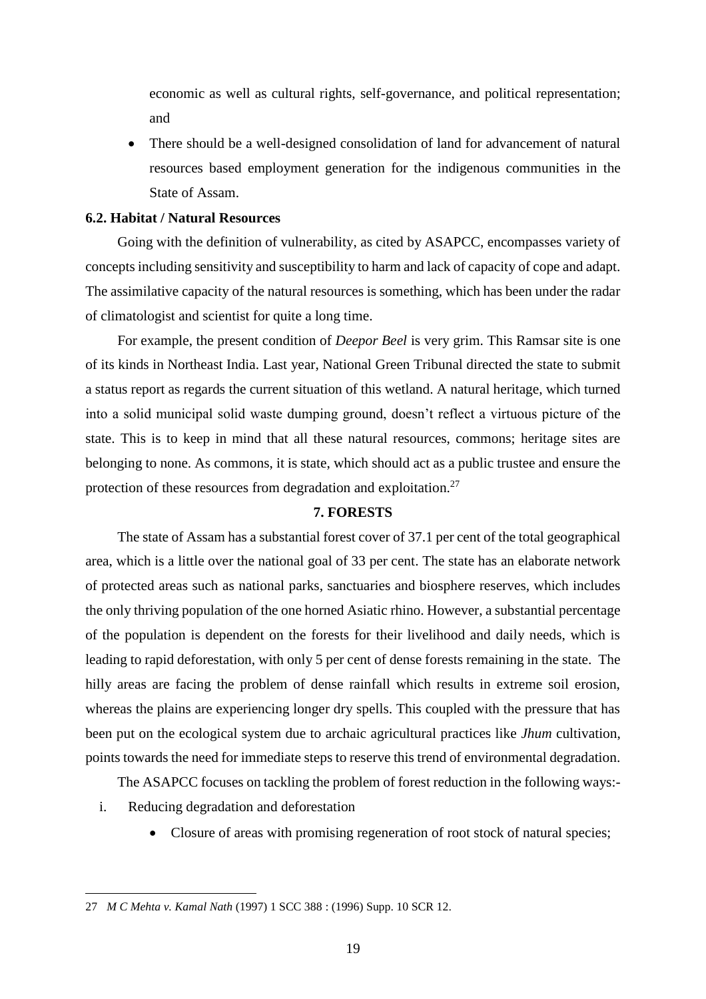economic as well as cultural rights, self-governance, and political representation; and

 There should be a well-designed consolidation of land for advancement of natural resources based employment generation for the indigenous communities in the State of Assam.

#### <span id="page-18-0"></span>**6.2. Habitat / Natural Resources**

Going with the definition of vulnerability, as cited by ASAPCC, encompasses variety of concepts including sensitivity and susceptibility to harm and lack of capacity of cope and adapt. The assimilative capacity of the natural resources is something, which has been under the radar of climatologist and scientist for quite a long time.

For example, the present condition of *Deepor Beel* is very grim. This Ramsar site is one of its kinds in Northeast India. Last year, National Green Tribunal directed the state to submit a status report as regards the current situation of this wetland. A natural heritage, which turned into a solid municipal solid waste dumping ground, doesn't reflect a virtuous picture of the state. This is to keep in mind that all these natural resources, commons; heritage sites are belonging to none. As commons, it is state, which should act as a public trustee and ensure the protection of these resources from degradation and exploitation.<sup>27</sup>

#### **7. FORESTS**

<span id="page-18-1"></span>The state of Assam has a substantial forest cover of 37.1 per cent of the total geographical area, which is a little over the national goal of 33 per cent. The state has an elaborate network of protected areas such as national parks, sanctuaries and biosphere reserves, which includes the only thriving population of the one horned Asiatic rhino. However, a substantial percentage of the population is dependent on the forests for their livelihood and daily needs, which is leading to rapid deforestation, with only 5 per cent of dense forests remaining in the state. The hilly areas are facing the problem of dense rainfall which results in extreme soil erosion, whereas the plains are experiencing longer dry spells. This coupled with the pressure that has been put on the ecological system due to archaic agricultural practices like *Jhum* cultivation, points towards the need for immediate steps to reserve this trend of environmental degradation.

The ASAPCC focuses on tackling the problem of forest reduction in the following ways:-

i. Reducing degradation and deforestation

 $\overline{\phantom{a}}$ 

• Closure of areas with promising regeneration of root stock of natural species;

<sup>27</sup> *M C Mehta v. Kamal Nath* (1997) 1 SCC 388 : (1996) Supp. 10 SCR 12.